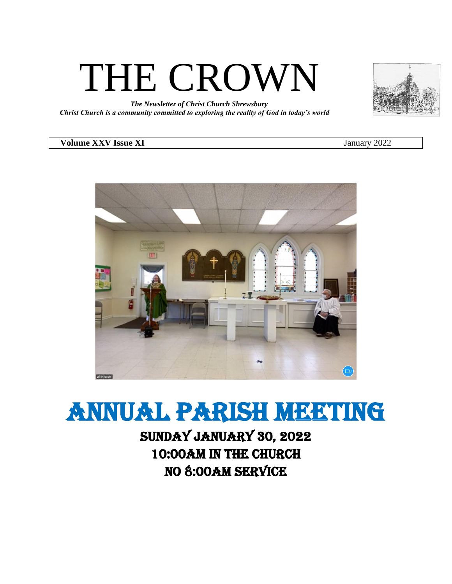# THE CROWN

*The Newsletter of Christ Church Shrewsbury Christ Church is a community committed to exploring the reality of God in today's world*

#### **Volume XXV Issue XI** January 2022

# annual parish meeting

## Sunday January 30, 2022 10:00am in the church No 8:00am service

al iPho

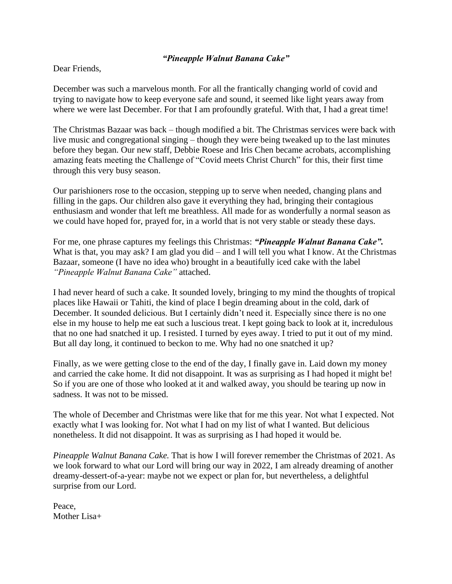#### *"Pineapple Walnut Banana Cake"*

Dear Friends,

December was such a marvelous month. For all the frantically changing world of covid and trying to navigate how to keep everyone safe and sound, it seemed like light years away from where we were last December. For that I am profoundly grateful. With that, I had a great time!

The Christmas Bazaar was back – though modified a bit. The Christmas services were back with live music and congregational singing – though they were being tweaked up to the last minutes before they began. Our new staff, Debbie Roese and Iris Chen became acrobats, accomplishing amazing feats meeting the Challenge of "Covid meets Christ Church" for this, their first time through this very busy season.

Our parishioners rose to the occasion, stepping up to serve when needed, changing plans and filling in the gaps. Our children also gave it everything they had, bringing their contagious enthusiasm and wonder that left me breathless. All made for as wonderfully a normal season as we could have hoped for, prayed for, in a world that is not very stable or steady these days.

For me, one phrase captures my feelings this Christmas: *"Pineapple Walnut Banana Cake".*  What is that, you may ask? I am glad you did – and I will tell you what I know. At the Christmas Bazaar, someone (I have no idea who) brought in a beautifully iced cake with the label *"Pineapple Walnut Banana Cake"* attached.

I had never heard of such a cake. It sounded lovely, bringing to my mind the thoughts of tropical places like Hawaii or Tahiti, the kind of place I begin dreaming about in the cold, dark of December. It sounded delicious. But I certainly didn't need it. Especially since there is no one else in my house to help me eat such a luscious treat. I kept going back to look at it, incredulous that no one had snatched it up. I resisted. I turned by eyes away. I tried to put it out of my mind. But all day long, it continued to beckon to me. Why had no one snatched it up?

Finally, as we were getting close to the end of the day, I finally gave in. Laid down my money and carried the cake home. It did not disappoint. It was as surprising as I had hoped it might be! So if you are one of those who looked at it and walked away, you should be tearing up now in sadness. It was not to be missed.

The whole of December and Christmas were like that for me this year. Not what I expected. Not exactly what I was looking for. Not what I had on my list of what I wanted. But delicious nonetheless. It did not disappoint. It was as surprising as I had hoped it would be.

*Pineapple Walnut Banana Cake.* That is how I will forever remember the Christmas of 2021. As we look forward to what our Lord will bring our way in 2022, I am already dreaming of another dreamy-dessert-of-a-year: maybe not we expect or plan for, but nevertheless, a delightful surprise from our Lord.

Peace, Mother Lisa+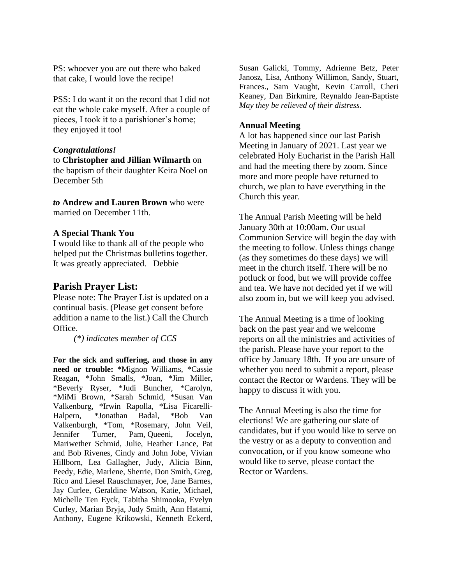PS: whoever you are out there who baked that cake, I would love the recipe!

PSS: I do want it on the record that I did *not* eat the whole cake myself. After a couple of pieces, I took it to a parishioner's home; they enjoyed it too!

#### *Congratulations!*

to **Christopher and Jillian Wilmarth** on the baptism of their daughter Keira Noel on December 5th

*to* **Andrew and Lauren Brown** who were married on December 11th.

#### **A Special Thank You**

I would like to thank all of the people who helped put the Christmas bulletins together. It was greatly appreciated. Debbie

#### **Parish Prayer List:**

Please note: The Prayer List is updated on a continual basis. (Please get consent before addition a name to the list.) Call the Church Office.

*(\*) indicates member of CCS*

**For the sick and suffering, and those in any need or trouble:** \*Mignon Williams, \*Cassie Reagan, \*John Smalls, \*Joan, \*Jim Miller, \*Beverly Ryser, \*Judi Buncher, \*Carolyn, \*MiMi Brown, \*Sarah Schmid, \*Susan Van Valkenburg, \*Irwin Rapolla, \*Lisa Ficarelli-Halpern, \*Jonathan Badal, \*Bob Van Valkenburgh, \*Tom, \*Rosemary, John Veil, Jennifer Turner, Pam, Queeni, Jocelyn, Mariwether Schmid, Julie, Heather Lance, Pat and Bob Rivenes, Cindy and John Jobe, Vivian Hillborn, Lea Gallagher, Judy, Alicia Binn, Peedy, Edie, Marlene, Sherrie, Don Smith, Greg, Rico and Liesel Rauschmayer, Joe, Jane Barnes, Jay Curlee, Geraldine Watson, Katie, Michael, Michelle Ten Eyck, Tabitha Shimooka, Evelyn Curley, Marian Bryja, Judy Smith, Ann Hatami, Anthony, Eugene Krikowski, Kenneth Eckerd,

Susan Galicki, Tommy, Adrienne Betz, Peter Janosz, Lisa, Anthony Willimon, Sandy, Stuart, Frances., Sam Vaught, Kevin Carroll, Cheri Keaney, Dan Birkmire, Reynaldo Jean-Baptiste *May they be relieved of their distress.*

#### **Annual Meeting**

A lot has happened since our last Parish Meeting in January of 2021. Last year we celebrated Holy Eucharist in the Parish Hall and had the meeting there by zoom. Since more and more people have returned to church, we plan to have everything in the Church this year.

The Annual Parish Meeting will be held January 30th at 10:00am. Our usual Communion Service will begin the day with the meeting to follow. Unless things change (as they sometimes do these days) we will meet in the church itself. There will be no potluck or food, but we will provide coffee and tea. We have not decided yet if we will also zoom in, but we will keep you advised.

The Annual Meeting is a time of looking back on the past year and we welcome reports on all the ministries and activities of the parish. Please have your report to the office by January 18th. If you are unsure of whether you need to submit a report, please contact the Rector or Wardens. They will be happy to discuss it with you.

The Annual Meeting is also the time for elections! We are gathering our slate of candidates, but if you would like to serve on the vestry or as a deputy to convention and convocation, or if you know someone who would like to serve, please contact the Rector or Wardens.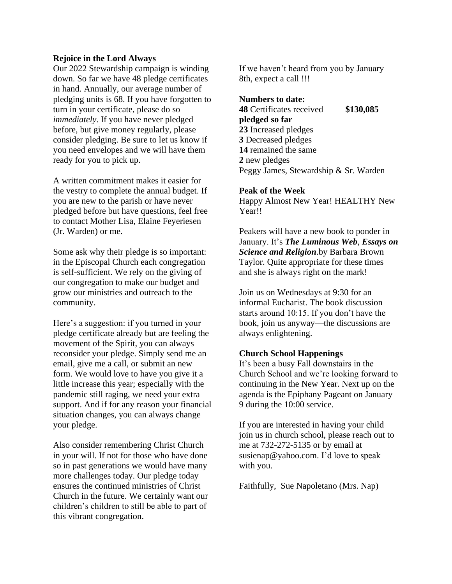#### **Rejoice in the Lord Always**

Our 2022 Stewardship campaign is winding down. So far we have 48 pledge certificates in hand. Annually, our average number of pledging units is 68. If you have forgotten to turn in your certificate, please do so *immediately*. If you have never pledged before, but give money regularly, please consider pledging. Be sure to let us know if you need envelopes and we will have them ready for you to pick up.

A written commitment makes it easier for the vestry to complete the annual budget. If you are new to the parish or have never pledged before but have questions, feel free to contact Mother Lisa, Elaine Feyeriesen (Jr. Warden) or me.

Some ask why their pledge is so important: in the Episcopal Church each congregation is self-sufficient. We rely on the giving of our congregation to make our budget and grow our ministries and outreach to the community.

Here's a suggestion: if you turned in your pledge certificate already but are feeling the movement of the Spirit, you can always reconsider your pledge. Simply send me an email, give me a call, or submit an new form. We would love to have you give it a little increase this year; especially with the pandemic still raging, we need your extra support. And if for any reason your financial situation changes, you can always change your pledge.

Also consider remembering Christ Church in your will. If not for those who have done so in past generations we would have many more challenges today. Our pledge today ensures the continued ministries of Christ Church in the future. We certainly want our children's children to still be able to part of this vibrant congregation.

If we haven't heard from you by January 8th, expect a call !!!

#### **Numbers to date:**

 Certificates received **\$130,085 pledged so far** Increased pledges Decreased pledges remained the same new pledges Peggy James, Stewardship & Sr. Warden

#### **Peak of the Week**

Happy Almost New Year! HEALTHY New Year!!

Peakers will have a new book to ponder in January. It's *The Luminous Web*, *Essays on Science and Religion*.by Barbara Brown Taylor. Quite appropriate for these times and she is always right on the mark!

Join us on Wednesdays at 9:30 for an informal Eucharist. The book discussion starts around 10:15. If you don't have the book, join us anyway—the discussions are always enlightening.

#### **Church School Happenings**

It's been a busy Fall downstairs in the Church School and we're looking forward to continuing in the New Year. Next up on the agenda is the Epiphany Pageant on January 9 during the 10:00 service.

If you are interested in having your child join us in church school, please reach out to me at 732-272-5135 or by email at [susienap@yahoo.com.](mailto:susienap@yahoo.com) I'd love to speak with you.

Faithfully, Sue Napoletano (Mrs. Nap)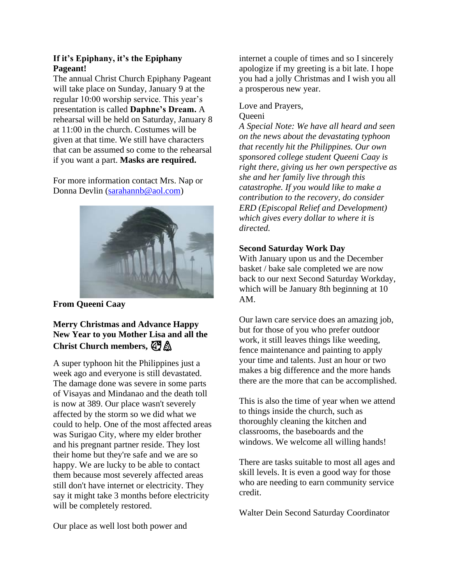#### **If it's Epiphany, it's the Epiphany Pageant!**

The annual Christ Church Epiphany Pageant will take place on Sunday, January 9 at the regular 10:00 worship service. This year's presentation is called **Daphne's Dream.** A rehearsal will be held on Saturday, January 8 at 11:00 in the church. Costumes will be given at that time. We still have characters that can be assumed so come to the rehearsal if you want a part. **Masks are required.**

For more information contact Mrs. Nap or Donna Devlin [\(sarahannb@aol.com\)](mailto:sarahannb@aol.com)



#### **From Queeni Caay**

#### **Merry Christmas and Advance Happy New Year to you Mother Lisa and all the Christ Church members,**

A super typhoon hit the Philippines just a week ago and everyone is still devastated. The damage done was severe in some parts of Visayas and Mindanao and the death toll is now at 389. Our place wasn't severely affected by the storm so we did what we could to help. One of the most affected areas was Surigao City, where my elder brother and his pregnant partner reside. They lost their home but they're safe and we are so happy. We are lucky to be able to contact them because most severely affected areas still don't have internet or electricity. They say it might take 3 months before electricity will be completely restored.

internet a couple of times and so I sincerely apologize if my greeting is a bit late. I hope you had a jolly Christmas and I wish you all a prosperous new year.

#### Love and Prayers, **Queeni**

*A Special Note: We have all heard and seen on the news about the devastating typhoon that recently hit the Philippines. Our own sponsored college student Queeni Caay is right there, giving us her own perspective as she and her family live through this catastrophe. If you would like to make a contribution to the recovery, do consider ERD (Episcopal Relief and Development) which gives every dollar to where it is directed.*

#### **Second Saturday Work Day**

With January upon us and the December basket / bake sale completed we are now back to our next Second Saturday Workday, which will be January 8th beginning at 10 AM.

Our lawn care service does an amazing job, but for those of you who prefer outdoor work, it still leaves things like weeding, fence maintenance and painting to apply your time and talents. Just an hour or two makes a big difference and the more hands there are the more that can be accomplished.

This is also the time of year when we attend to things inside the church, such as thoroughly cleaning the kitchen and classrooms, the baseboards and the windows. We welcome all willing hands!

There are tasks suitable to most all ages and skill levels. It is even a good way for those who are needing to earn community service credit.

Walter Dein Second Saturday Coordinator

Our place as well lost both power and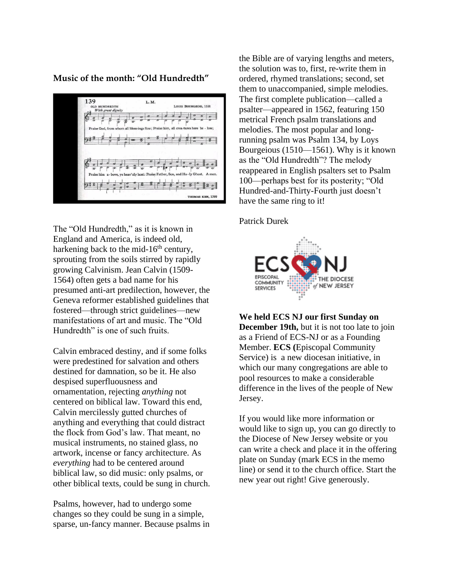**Music of the month: "Old Hundredth"**



The "Old Hundredth," as it is known in England and America, is indeed old, harkening back to the mid- $16<sup>th</sup>$  century, sprouting from the soils stirred by rapidly growing Calvinism. Jean Calvin (1509- 1564) often gets a bad name for his presumed anti-art predilection, however, the Geneva reformer established guidelines that fostered—through strict guidelines—new manifestations of art and music. The "Old Hundredth" is one of such fruits.

Calvin embraced destiny, and if some folks were predestined for salvation and others destined for damnation, so be it. He also despised superfluousness and ornamentation, rejecting *anything* not centered on biblical law. Toward this end, Calvin mercilessly gutted churches of anything and everything that could distract the flock from God's law. That meant, no musical instruments, no stained glass, no artwork, incense or fancy architecture. As *everything* had to be centered around biblical law, so did music: only psalms, or other biblical texts, could be sung in church.

Psalms, however, had to undergo some changes so they could be sung in a simple, sparse, un-fancy manner. Because psalms in the Bible are of varying lengths and meters, the solution was to, first, re-write them in ordered, rhymed translations; second, set them to unaccompanied, simple melodies. The first complete publication—called a psalter—appeared in 1562, featuring 150 metrical French psalm translations and melodies. The most popular and longrunning psalm was Psalm 134, by Loys Bourgeious (1510—1561). Why is it known as the "Old Hundredth"? The melody reappeared in English psalters set to Psalm 100—perhaps best for its posterity; "Old Hundred-and-Thirty-Fourth just doesn't have the same ring to it!

Patrick Durek



**We held ECS NJ our first Sunday on December 19th,** but it is not too late to join as a Friend of ECS-NJ or as a Founding Member. **ECS (**Episcopal Community Service) isa new diocesan initiative, in which our many congregations are able to pool resources to make a considerable difference in the lives of the people of New Jersey.

If you would like more information or would like to sign up, you can go directly to the Diocese of New Jersey website or you can write a check and place it in the offering plate on Sunday (mark ECS in the memo line) or send it to the church office. Start the new year out right! Give generously.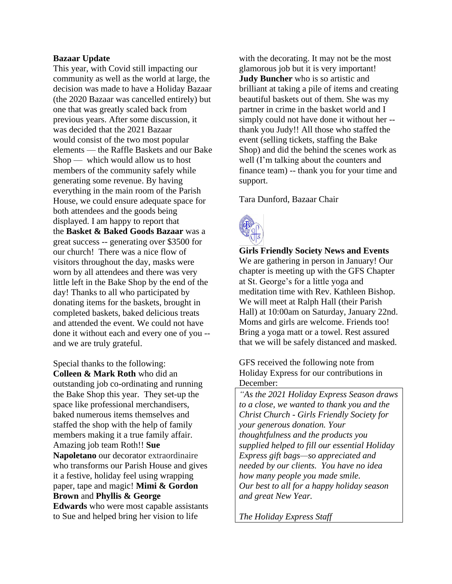#### **Bazaar Update**

This year, with Covid still impacting our community as well as the world at large, the decision was made to have a Holiday Bazaar (the 2020 Bazaar was cancelled entirely) but one that was greatly scaled back from previous years. After some discussion, it was decided that the 2021 Bazaar would consist of the two most popular elements — the Raffle Baskets and our Bake Shop — which would allow us to host members of the community safely while generating some revenue. By having everything in the main room of the Parish House, we could ensure adequate space for both attendees and the goods being displayed. I am happy to report that the **Basket & Baked Goods Bazaar** was a great success -- generating over \$3500 for our church! There was a nice flow of visitors throughout the day, masks were worn by all attendees and there was very little left in the Bake Shop by the end of the day! Thanks to all who participated by donating items for the baskets, brought in completed baskets, baked delicious treats and attended the event. We could not have done it without each and every one of you - and we are truly grateful.

Special thanks to the following: **Colleen & Mark Roth** who did an outstanding job co-ordinating and running the Bake Shop this year. They set-up the space like professional merchandisers, baked numerous items themselves and staffed the shop with the help of family members making it a true family affair. Amazing job team Roth!! **Sue Napoletano** our decorator extraordinaire who transforms our Parish House and gives it a festive, holiday feel using wrapping paper, tape and magic! **Mimi & Gordon Brown** and **Phyllis & George Edwards** who were most capable assistants to Sue and helped bring her vision to life

with the decorating. It may not be the most glamorous job but it is very important! **Judy Buncher** who is so artistic and brilliant at taking a pile of items and creating beautiful baskets out of them. She was my partner in crime in the basket world and I simply could not have done it without her - thank you Judy!! All those who staffed the event (selling tickets, staffing the Bake Shop) and did the behind the scenes work as well (I'm talking about the counters and finance team) -- thank you for your time and support.

Tara Dunford, Bazaar Chair



**Girls Friendly Society News and Events** We are gathering in person in January! Our chapter is meeting up with the GFS Chapter at St. George's for a little yoga and meditation time with Rev. Kathleen Bishop. We will meet at Ralph Hall (their Parish Hall) at 10:00am on Saturday, January 22nd. Moms and girls are welcome. Friends too! Bring a yoga matt or a towel. Rest assured that we will be safely distanced and masked.

GFS received the following note from Holiday Express for our contributions in December:

*"As the 2021 Holiday Express Season draws to a close, we wanted to thank you and the Christ Church - Girls Friendly Society for your generous donation. Your thoughtfulness and the products you supplied helped to fill our essential Holiday Express gift bags—so appreciated and needed by our clients. You have no idea how many people you made smile. Our best to all for a happy holiday season and great New Year.*

*The Holiday Express Staff*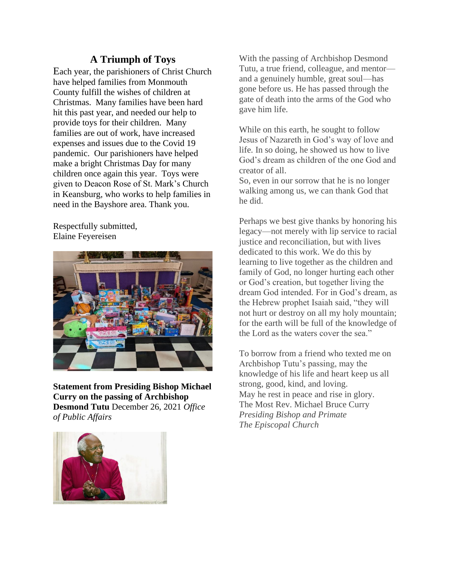#### **A Triumph of Toys**

Each year, the parishioners of Christ Church have helped families from Monmouth County fulfill the wishes of children at Christmas. Many families have been hard hit this past year, and needed our help to provide toys for their children. Many families are out of work, have increased expenses and issues due to the Covid 19 pandemic. Our parishioners have helped make a bright Christmas Day for many children once again this year. Toys were given to Deacon Rose of St. Mark's Church in Keansburg, who works to help families in need in the Bayshore area. Thank you.

Respectfully submitted, Elaine Feyereisen



**Statement from Presiding Bishop Michael Curry on the passing of Archbishop Desmond Tutu** December 26, 2021 *Office of Public Affairs*



With the passing of Archbishop Desmond Tutu, a true friend, colleague, and mentor and a genuinely humble, great soul—has gone before us. He has passed through the gate of death into the arms of the God who gave him life.

While on this earth, he sought to follow Jesus of Nazareth in God's way of love and life. In so doing, he showed us how to live God's dream as children of the one God and creator of all.

So, even in our sorrow that he is no longer walking among us, we can thank God that he did.

Perhaps we best give thanks by honoring his legacy—not merely with lip service to racial justice and reconciliation, but with lives dedicated to this work. We do this by learning to live together as the children and family of God, no longer hurting each other or God's creation, but together living the dream God intended. For in God's dream, as the Hebrew prophet Isaiah said, "they will not hurt or destroy on all my holy mountain; for the earth will be full of the knowledge of the Lord as the waters cover the sea."

To borrow from a friend who texted me on Archbishop Tutu's passing, may the knowledge of his life and heart keep us all strong, good, kind, and loving. May he rest in peace and rise in glory. The Most Rev. Michael Bruce Curry *Presiding Bishop and Primate The Episcopal Church*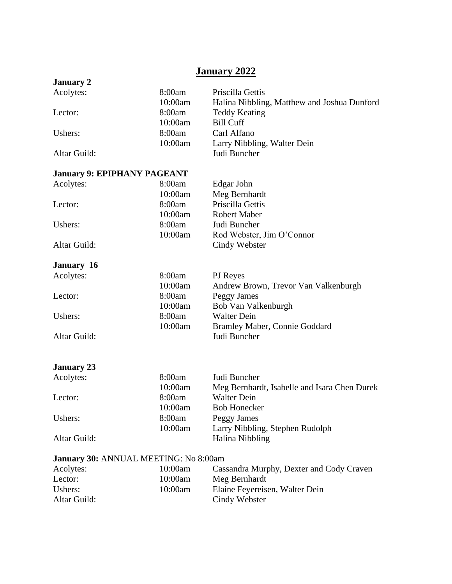### **January 2022**

| <b>January 2</b>                      |         |                                              |  |
|---------------------------------------|---------|----------------------------------------------|--|
| Acolytes:                             | 8:00am  | Priscilla Gettis                             |  |
|                                       | 10:00am | Halina Nibbling, Matthew and Joshua Dunford  |  |
| Lector:                               | 8:00am  | <b>Teddy Keating</b>                         |  |
|                                       | 10:00am | <b>Bill Cuff</b>                             |  |
| Ushers:                               | 8:00am  | Carl Alfano                                  |  |
|                                       | 10:00am | Larry Nibbling, Walter Dein                  |  |
| Altar Guild:                          |         | Judi Buncher                                 |  |
| <b>January 9: EPIPHANY PAGEANT</b>    |         |                                              |  |
| Acolytes:                             | 8:00am  | Edgar John                                   |  |
|                                       | 10:00am | Meg Bernhardt                                |  |
| Lector:                               | 8:00am  | Priscilla Gettis                             |  |
|                                       | 10:00am | <b>Robert Maber</b>                          |  |
| Ushers:                               | 8:00am  | Judi Buncher                                 |  |
|                                       | 10:00am | Rod Webster, Jim O'Connor                    |  |
| Altar Guild:                          |         | Cindy Webster                                |  |
| January 16                            |         |                                              |  |
| Acolytes:                             | 8:00am  | PJ Reyes                                     |  |
|                                       | 10:00am | Andrew Brown, Trevor Van Valkenburgh         |  |
| Lector:                               | 8:00am  | Peggy James                                  |  |
|                                       | 10:00am | Bob Van Valkenburgh                          |  |
| Ushers:                               | 8:00am  | <b>Walter Dein</b>                           |  |
|                                       | 10:00am | Bramley Maber, Connie Goddard                |  |
| Altar Guild:                          |         | Judi Buncher                                 |  |
|                                       |         |                                              |  |
| <b>January 23</b>                     |         |                                              |  |
| Acolytes:                             | 8:00am  | Judi Buncher                                 |  |
|                                       | 10:00am | Meg Bernhardt, Isabelle and Isara Chen Durek |  |
| Lector:                               | 8:00am  | <b>Walter Dein</b>                           |  |
|                                       | 10:00am | <b>Bob Honecker</b>                          |  |
| Ushers:                               | 8:00am  | Peggy James                                  |  |
|                                       | 10:00am | Larry Nibbling, Stephen Rudolph              |  |
| Altar Guild:                          |         | Halina Nibbling                              |  |
| January 30: ANNUAL MEETING: No 8:00am |         |                                              |  |
| Acolytes:                             | 10:00am | Cassandra Murphy, Dexter and Cody Craven     |  |
| Lector:                               | 10:00am | Meg Bernhardt                                |  |
| Ushers:                               | 10:00am | Elaine Feyereisen, Walter Dein               |  |
| Altar Guild:                          |         | Cindy Webster                                |  |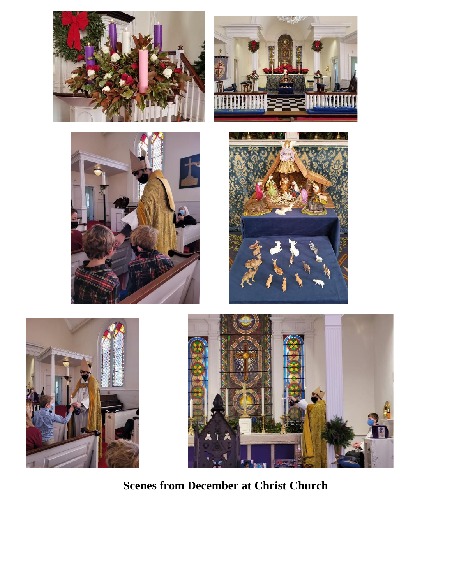











**Scenes from December at Christ Church**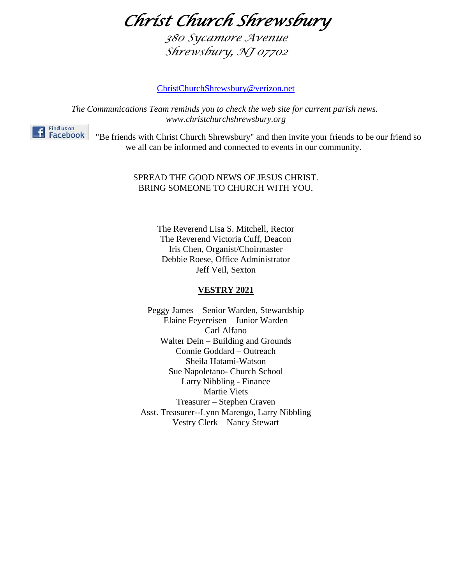*Christ Church Shrewsbury* 

*380 Sycamore Avenue Shrewsbury, NJ 07702*

[ChristChurchShrewsbury@verizon.net](mailto:ChristChurchShrewsbury@verizon.net)

*The Communications Team reminds you to check the web site for current parish news. www.christchurchshrewsbury.org*



"Be friends with Christ Church Shrewsbury" and then invite your friends to be our friend so we all can be informed and connected to events in our community.

#### SPREAD THE GOOD NEWS OF JESUS CHRIST. BRING SOMEONE TO CHURCH WITH YOU.

The Reverend Lisa S. Mitchell, Rector The Reverend Victoria Cuff, Deacon Iris Chen, Organist/Choirmaster Debbie Roese, Office Administrator Jeff Veil, Sexton

#### **VESTRY 2021**

Peggy James – Senior Warden, Stewardship Elaine Feyereisen – Junior Warden Carl Alfano Walter Dein – Building and Grounds Connie Goddard – Outreach Sheila Hatami-Watson Sue Napoletano- Church School Larry Nibbling - Finance Martie Viets Treasurer – Stephen Craven Asst. Treasurer--Lynn Marengo, Larry Nibbling Vestry Clerk – Nancy Stewart